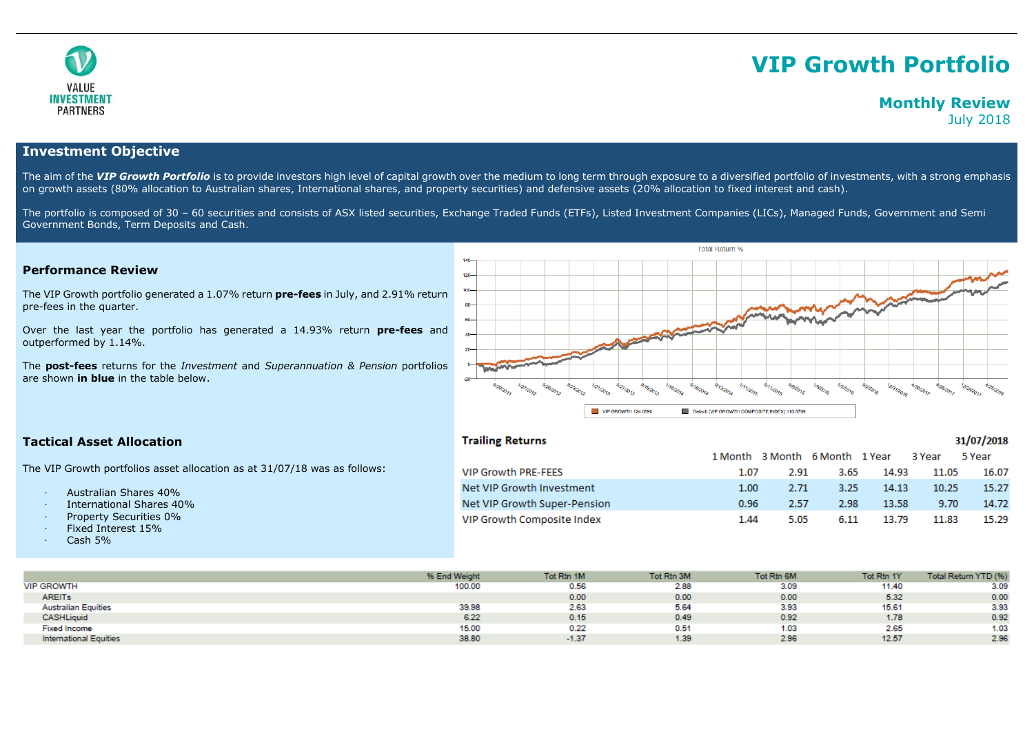

# **VIP Growth Portfolio**

# **Monthly Review** July 2018

# **Investment Objective**

The aim of the VIP Growth Portfolio is to provide investors high level of capital growth over the medium to long term through exposure to a diversified portfolio of investments, with a strong emphasis on growth assets (80% allocation to Australian shares, International shares, and property securities) and defensive assets (20% allocation to fixed interest and cash).

The portfolio is composed of 30 - 60 securities and consists of ASX listed securities, Exchange Traded Funds (ETFs), Listed Investment Companies (LICs), Managed Funds, Government and Semi Government Bonds, Term Deposits and Cash.

# **Performance Review**

The VIP Growth portfolio generated a 1.07% return **pre-fees** in July, and 2.91% return pre-fees in the quarter.

Over the last year the portfolio has generated a 14.93% return **pre-fees** and outperformed by 1.14%.

The **post-fees** returns for the *Investment* and *Superannuation & Pension* portfolios are shown **in blue** in the table below.



# **Tactical Asset Allocation**

**Trailing Returns** 

### 31/07/2018

|                              |      |      |      |       | 1 Month 3 Month 6 Month 1 Year 3 Year 5 Year |       |
|------------------------------|------|------|------|-------|----------------------------------------------|-------|
| <b>VIP Growth PRE-FEES</b>   | 1.07 | 2.91 | 3.65 | 14.93 | 11.05                                        | 16.07 |
| Net VIP Growth Investment    | 1.00 | 2.71 | 3.25 | 14.13 | 10.25                                        | 15.27 |
| Net VIP Growth Super-Pension | 0.96 | 2.57 | 2.98 | 13.58 | 9.70                                         | 14.72 |
| VIP Growth Composite Index   | 1.44 | 5.05 | 6.11 | 13.79 | 11.83                                        | 15.29 |

The VIP Growth portfolios asset allocation as at 31/07/18 was as follows:

- · Australian Shares 40%
- · International Shares 40%
- Property Securities 0%
- · Fixed Interest 15%
- · Cash 5%

|                               | % End Weight | Tot Rtn 1M | Tot Rtn 3M | Tot Rtn 6M | Tot Rtn 1Y | Total Return YTD (%) |
|-------------------------------|--------------|------------|------------|------------|------------|----------------------|
| <b>VIP GROWTH</b>             | 100.00       | 0.56       | 2.88       | 3.09       | 11.40      | 3.09                 |
| <b>AREITS</b>                 |              | 0.00       | 0.00       | 0.00       | 5.32       | 0.00                 |
| <b>Australian Equities</b>    | 39.98        | 2.63       | 5.64       | 3.93       | 15.61      | 3.93                 |
| <b>CASHLiquid</b>             | 6.22         | 0.15       | 0.49       | 0.92       | 1.78       | 0.92                 |
| <b>Fixed Income</b>           | 15.00        | 0.22       | 0.51       | 1.03       | 2.65       | 1.03                 |
| <b>International Equities</b> | 38.80        | $-1.37$    | 1.39       | 2.96       | 12.57      | 2.96                 |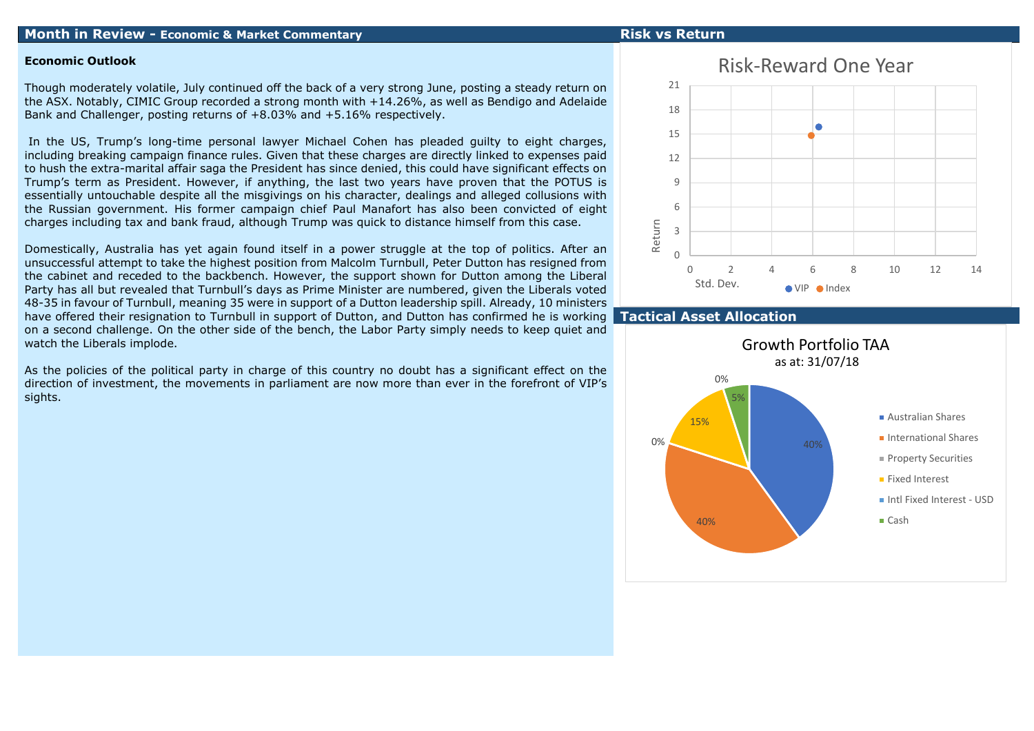## **Month in Review - Economic & Market Commentary Risk vs Return**

### **Economic Outlook**

Though moderately volatile, July continued off the back of a very strong June, posting a steady return on the ASX. Notably, CIMIC Group recorded a strong month with +14.26%, as well as Bendigo and Adelaide Bank and Challenger, posting returns of +8.03% and +5.16% respectively.

In the US, Trump's long-time personal lawyer Michael Cohen has pleaded guilty to eight charges, including breaking campaign finance rules. Given that these charges are directly linked to expenses paid to hush the extra-marital affair saga the President has since denied, this could have significant effects on Trump's term as President. However, if anything, the last two years have proven that the POTUS is essentially untouchable despite all the misgivings on his character, dealings and alleged collusions with the Russian government. His former campaign chief Paul Manafort has also been convicted of eight charges including tax and bank fraud, although Trump was quick to distance himself from this case.

Domestically, Australia has yet again found itself in a power struggle at the top of politics. After an unsuccessful attempt to take the highest position from Malcolm Turnbull, Peter Dutton has resigned from the cabinet and receded to the backbench. However, the support shown for Dutton among the Liberal Party has all but revealed that Turnbull's days as Prime Minister are numbered, given the Liberals voted 48-35 in favour of Turnbull, meaning 35 were in support of a Dutton leadership spill. Already, 10 ministers have offered their resignation to Turnbull in support of Dutton, and Dutton has confirmed he is working on a second challenge. On the other side of the bench, the Labor Party simply needs to keep quiet and watch the Liberals implode.

As the policies of the political party in charge of this country no doubt has a significant effect on the direction of investment, the movements in parliament are now more than ever in the forefront of VIP's sights.



# **Tactical Asset Allocation**

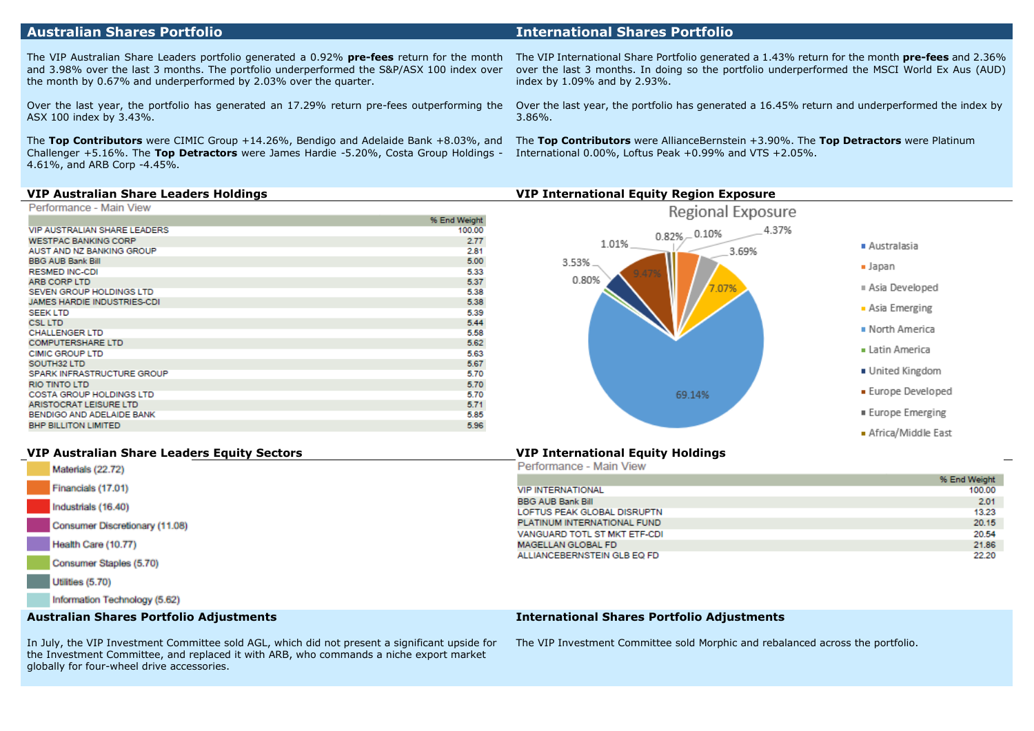# **Australian Shares Portfolio International Shares Portfolio**

The VIP Australian Share Leaders portfolio generated a 0.92% **pre-fees** return for the month and 3.98% over the last 3 months. The portfolio underperformed the S&P/ASX 100 index over the month by 0.67% and underperformed by 2.03% over the quarter.

Over the last year, the portfolio has generated an 17.29% return pre-fees outperforming the ASX 100 index by 3.43%.

The **Top Contributors** were CIMIC Group +14.26%, Bendigo and Adelaide Bank +8.03%, and Challenger +5.16%. The **Top Detractors** were James Hardie -5.20%, Costa Group Holdings - 4.61%, and ARB Corp -4.45%.

The VIP International Share Portfolio generated a 1.43% return for the month **pre-fees** and 2.36% over the last 3 months. In doing so the portfolio underperformed the MSCI World Ex Aus (AUD) index by 1.09% and by 2.93%.

Over the last year, the portfolio has generated a 16.45% return and underperformed the index by 3.86%.

The **Top Contributors** were AllianceBernstein +3.90%. The **Top Detractors** were Platinum International 0.00%, Loftus Peak +0.99% and VTS +2.05%.

### **VIP Australian Share Leaders Holdings VIP International Equity Region Exposure**

| Performance - Main View |  |  |  |  |
|-------------------------|--|--|--|--|
|-------------------------|--|--|--|--|

| <b>VIP AUSTRALIAN SHARE LEADERS</b><br>100.00<br>2.77<br><b>WESTPAC BANKING CORP</b><br>AUST AND NZ BANKING GROUP<br>2.81<br>5.00<br><b>BBG AUB Bank Bill</b><br>5.33<br><b>RESMED INC-CDI</b><br>ARB CORP LTD<br>5.37<br>5.38<br>SEVEN GROUP HOLDINGS LTD<br>5.38<br>JAMES HARDIE INDUSTRIES-CDI<br>5.39<br><b>SEEK LTD</b><br>5.44<br><b>CSL LTD</b><br>5.58<br><b>CHALLENGER LTD</b><br>5.62<br><b>COMPUTERSHARE LTD</b><br>5.63<br><b>CIMIC GROUP LTD</b><br>SOUTH32 LTD<br>5.67<br>SPARK INFRASTRUCTURE GROUP<br>5.70<br>5.70<br><b>RIO TINTO LTD</b><br>5.70<br><b>COSTA GROUP HOLDINGS LTD</b><br>5.71<br><b>ARISTOCRAT LEISURE LTD</b><br>5.85<br>BENDIGO AND ADELAIDE BANK<br><b>BHP BILLITON LIMITED</b><br>5.96 | % End Weight |
|----------------------------------------------------------------------------------------------------------------------------------------------------------------------------------------------------------------------------------------------------------------------------------------------------------------------------------------------------------------------------------------------------------------------------------------------------------------------------------------------------------------------------------------------------------------------------------------------------------------------------------------------------------------------------------------------------------------------------|--------------|
|                                                                                                                                                                                                                                                                                                                                                                                                                                                                                                                                                                                                                                                                                                                            |              |
|                                                                                                                                                                                                                                                                                                                                                                                                                                                                                                                                                                                                                                                                                                                            |              |
|                                                                                                                                                                                                                                                                                                                                                                                                                                                                                                                                                                                                                                                                                                                            |              |
|                                                                                                                                                                                                                                                                                                                                                                                                                                                                                                                                                                                                                                                                                                                            |              |
|                                                                                                                                                                                                                                                                                                                                                                                                                                                                                                                                                                                                                                                                                                                            |              |
|                                                                                                                                                                                                                                                                                                                                                                                                                                                                                                                                                                                                                                                                                                                            |              |
|                                                                                                                                                                                                                                                                                                                                                                                                                                                                                                                                                                                                                                                                                                                            |              |
|                                                                                                                                                                                                                                                                                                                                                                                                                                                                                                                                                                                                                                                                                                                            |              |
|                                                                                                                                                                                                                                                                                                                                                                                                                                                                                                                                                                                                                                                                                                                            |              |
|                                                                                                                                                                                                                                                                                                                                                                                                                                                                                                                                                                                                                                                                                                                            |              |
|                                                                                                                                                                                                                                                                                                                                                                                                                                                                                                                                                                                                                                                                                                                            |              |
|                                                                                                                                                                                                                                                                                                                                                                                                                                                                                                                                                                                                                                                                                                                            |              |
|                                                                                                                                                                                                                                                                                                                                                                                                                                                                                                                                                                                                                                                                                                                            |              |
|                                                                                                                                                                                                                                                                                                                                                                                                                                                                                                                                                                                                                                                                                                                            |              |
|                                                                                                                                                                                                                                                                                                                                                                                                                                                                                                                                                                                                                                                                                                                            |              |
|                                                                                                                                                                                                                                                                                                                                                                                                                                                                                                                                                                                                                                                                                                                            |              |
|                                                                                                                                                                                                                                                                                                                                                                                                                                                                                                                                                                                                                                                                                                                            |              |
|                                                                                                                                                                                                                                                                                                                                                                                                                                                                                                                                                                                                                                                                                                                            |              |
|                                                                                                                                                                                                                                                                                                                                                                                                                                                                                                                                                                                                                                                                                                                            |              |
|                                                                                                                                                                                                                                                                                                                                                                                                                                                                                                                                                                                                                                                                                                                            |              |



# **VIP Australian Share Leaders Equity Sectors VIP International Equity Holdings**

| Materials (22.72)              | Performance - Main View      |              |
|--------------------------------|------------------------------|--------------|
|                                |                              | % End Weight |
| Financials (17.01)             | <b>VIP INTERNATIONAL</b>     | 100.00       |
| Industrials (16.40)            | <b>BBG AUB Bank Bill</b>     | 2.01         |
|                                | LOFTUS PEAK GLOBAL DISRUPTN  | 13.23        |
| Consumer Discretionary (11.08) | PLATINUM INTERNATIONAL FUND  | 20.15        |
|                                | VANGUARD TOTL ST MKT ETF-CDI | 20.54        |
| Health Care (10.77)            | MAGELLAN GLOBAL FD           | 21.86        |
| Consumer Staples (5.70)        | ALLIANCEBERNSTEIN GLB EQ FD  | 22.20        |
| Utilities (5.70)               |                              |              |
| Information Technology (5.62)  |                              |              |

#### **Australian Shares Portfolio Adjustments**

#### **International Shares Portfolio Adjustments**

In July, the VIP Investment Committee sold AGL, which did not present a significant upside for the Investment Committee, and replaced it with ARB, who commands a niche export market globally for four-wheel drive accessories.

The VIP Investment Committee sold Morphic and rebalanced across the portfolio.